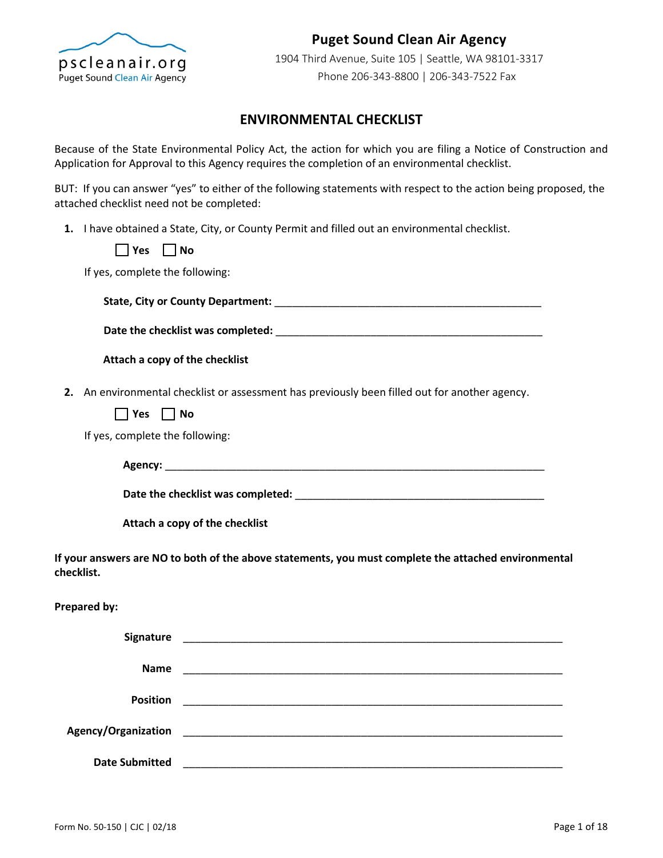

## **Puget Sound Clean Air Agency**

1904 Third Avenue, Suite 105 | Seattle, WA 98101-3317 Phone 206-343-8800 | 206-343-7522 Fax

### **ENVIRONMENTAL CHECKLIST**

Because of the State Environmental Policy Act, the action for which you are filing a Notice of Construction and Application for Approval to this Agency requires the completion of an environmental checklist.

BUT: If you can answer "yes" to either of the following statements with respect to the action being proposed, the attached checklist need not be completed:

**1.** I have obtained a State, City, or County Permit and filled out an environmental checklist.

**Yes No**

If yes, complete the following:

| <b>State, City or County Department:</b> |  |
|------------------------------------------|--|
|                                          |  |

**Date the checklist was completed:** \_\_\_\_\_\_\_\_\_\_\_\_\_\_\_\_\_\_\_\_\_\_\_\_\_\_\_\_\_\_\_\_\_\_\_\_\_\_\_\_\_\_\_\_\_

**Attach a copy of the checklist**

**2.** An environmental checklist or assessment has previously been filled out for another agency.

 $\Box$  Yes  $\Box$  No

If yes, complete the following:

**Agency:** \_\_\_\_\_\_\_\_\_\_\_\_\_\_\_\_\_\_\_\_\_\_\_\_\_\_\_\_\_\_\_\_\_\_\_\_\_\_\_\_\_\_\_\_\_\_\_\_\_\_\_\_\_\_\_\_\_\_\_\_\_\_\_\_

**Date the checklist was completed:** \_\_\_\_\_\_\_\_\_\_\_\_\_\_\_\_\_\_\_\_\_\_\_\_\_\_\_\_\_\_\_\_\_\_\_\_\_\_\_\_\_\_

**Attach a copy of the checklist**

**If your answers are NO to both of the above statements, you must complete the attached environmental checklist.**

#### **Prepared by:**

| Signature             |  |
|-----------------------|--|
| <b>Name</b>           |  |
| <b>Position</b>       |  |
| Agency/Organization   |  |
| <b>Date Submitted</b> |  |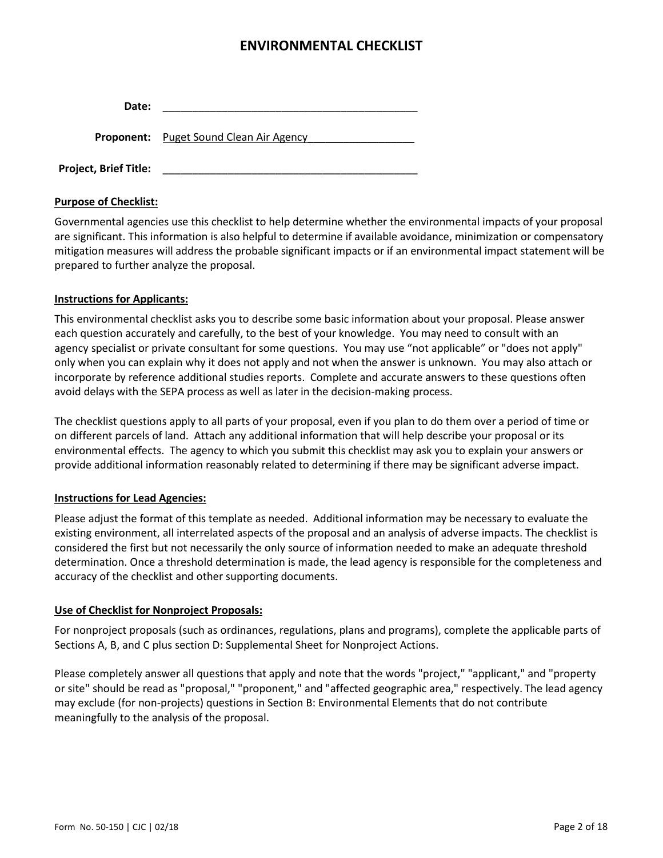| Date: |                                                |
|-------|------------------------------------------------|
|       | <b>Proponent:</b> Puget Sound Clean Air Agency |

**Project, Brief Title:** \_\_\_\_\_\_\_\_\_\_\_\_\_\_\_\_\_\_\_\_\_\_\_\_\_\_\_\_\_\_\_\_\_\_\_\_\_\_\_\_\_\_\_

### **Purpose of Checklist:**

Governmental agencies use this checklist to help determine whether the environmental impacts of your proposal are significant. This information is also helpful to determine if available avoidance, minimization or compensatory mitigation measures will address the probable significant impacts or if an environmental impact statement will be prepared to further analyze the proposal.

### **Instructions for Applicants:**

This environmental checklist asks you to describe some basic information about your proposal. Please answer each question accurately and carefully, to the best of your knowledge. You may need to consult with an agency specialist or private consultant for some questions. You may use "not applicable" or "does not apply" only when you can explain why it does not apply and not when the answer is unknown. You may also attach or incorporate by reference additional studies reports. Complete and accurate answers to these questions often avoid delays with the SEPA process as well as later in the decision-making process.

The checklist questions apply to all parts of your proposal, even if you plan to do them over a period of time or on different parcels of land. Attach any additional information that will help describe your proposal or its environmental effects. The agency to which you submit this checklist may ask you to explain your answers or provide additional information reasonably related to determining if there may be significant adverse impact.

### **Instructions for Lead Agencies:**

Please adjust the format of this template as needed. Additional information may be necessary to evaluate the existing environment, all interrelated aspects of the proposal and an analysis of adverse impacts. The checklist is considered the first but not necessarily the only source of information needed to make an adequate threshold determination. Once a threshold determination is made, the lead agency is responsible for the completeness and accuracy of the checklist and other supporting documents.

### **Use of Checklist for Nonproject Proposals:**

For nonproject proposals (such as ordinances, regulations, plans and programs), complete the applicable parts of Sections A, B, and C plus section D: Supplemental Sheet for Nonproject Actions.

Please completely answer all questions that apply and note that the words "project," "applicant," and "property or site" should be read as "proposal," "proponent," and "affected geographic area," respectively. The lead agency may exclude (for non-projects) questions in Section B: Environmental Elements that do not contribute meaningfully to the analysis of the proposal.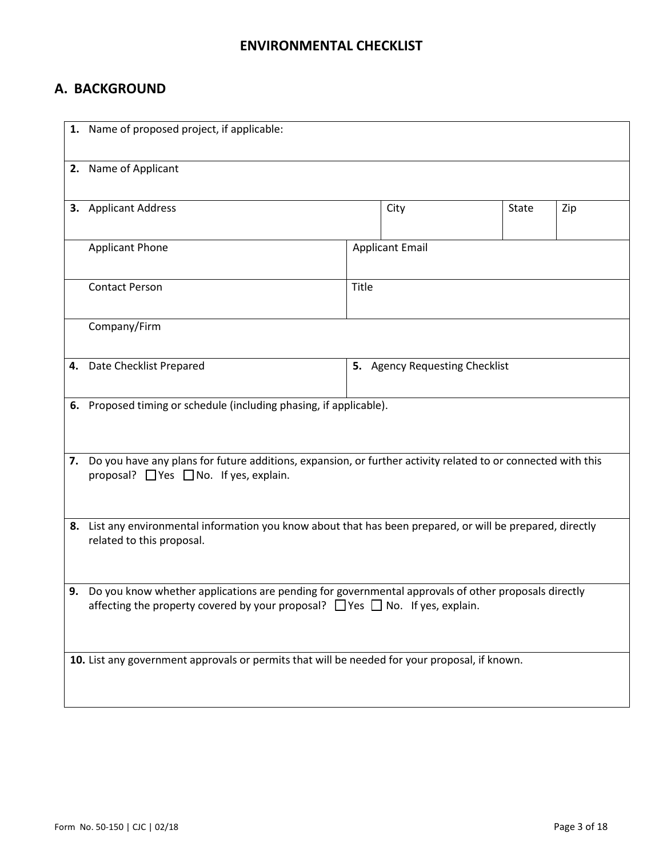# **A. BACKGROUND**

|    | 1. Name of proposed project, if applicable:                                                                                                                                                       |       |                                |       |     |
|----|---------------------------------------------------------------------------------------------------------------------------------------------------------------------------------------------------|-------|--------------------------------|-------|-----|
|    | 2. Name of Applicant                                                                                                                                                                              |       |                                |       |     |
|    | 3. Applicant Address                                                                                                                                                                              |       | City                           | State | Zip |
|    | <b>Applicant Phone</b>                                                                                                                                                                            |       | <b>Applicant Email</b>         |       |     |
|    | <b>Contact Person</b>                                                                                                                                                                             | Title |                                |       |     |
|    | Company/Firm                                                                                                                                                                                      |       |                                |       |     |
| 4. | Date Checklist Prepared                                                                                                                                                                           |       | 5. Agency Requesting Checklist |       |     |
|    | 6. Proposed timing or schedule (including phasing, if applicable).                                                                                                                                |       |                                |       |     |
|    | 7. Do you have any plans for future additions, expansion, or further activity related to or connected with this<br>proposal? $\Box$ Yes $\Box$ No. If yes, explain.                               |       |                                |       |     |
|    | 8. List any environmental information you know about that has been prepared, or will be prepared, directly<br>related to this proposal.                                                           |       |                                |       |     |
|    | 9. Do you know whether applications are pending for governmental approvals of other proposals directly<br>affecting the property covered by your proposal? $\Box$ Yes $\Box$ No. If yes, explain. |       |                                |       |     |
|    | 10. List any government approvals or permits that will be needed for your proposal, if known.                                                                                                     |       |                                |       |     |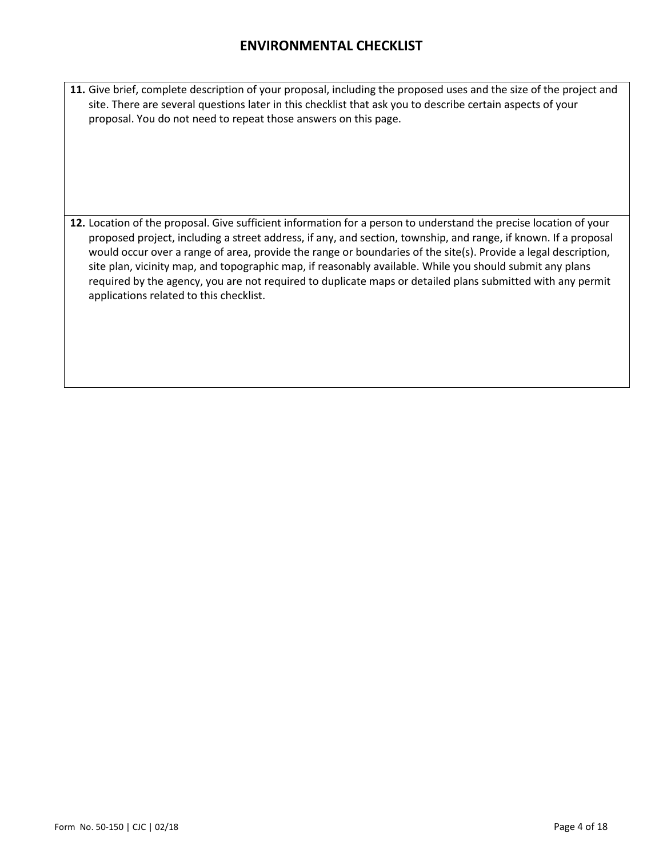**11.** Give brief, complete description of your proposal, including the proposed uses and the size of the project and site. There are several questions later in this checklist that ask you to describe certain aspects of your proposal. You do not need to repeat those answers on this page.

**12.** Location of the proposal. Give sufficient information for a person to understand the precise location of your proposed project, including a street address, if any, and section, township, and range, if known. If a proposal would occur over a range of area, provide the range or boundaries of the site(s). Provide a legal description, site plan, vicinity map, and topographic map, if reasonably available. While you should submit any plans required by the agency, you are not required to duplicate maps or detailed plans submitted with any permit applications related to this checklist.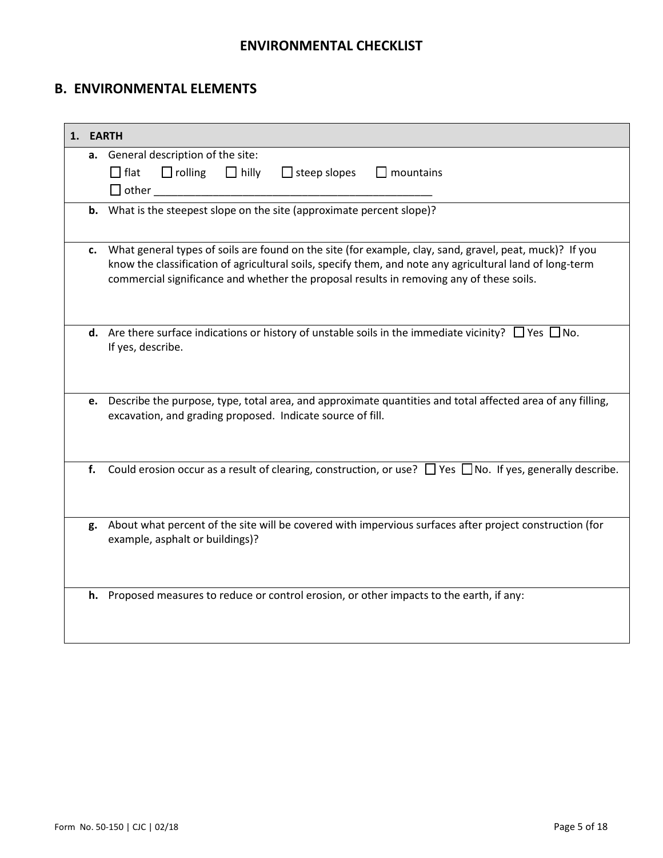# **B. ENVIRONMENTAL ELEMENTS**

| 1. EARTH |                                                                                                                                                                                                                                                                                                                 |
|----------|-----------------------------------------------------------------------------------------------------------------------------------------------------------------------------------------------------------------------------------------------------------------------------------------------------------------|
|          | a. General description of the site:<br>$\Box$ flat<br>$\Box$ mountains<br>$\Box$ rolling $\Box$ hilly $\Box$ steep slopes<br>$\Box$ other $\Box$                                                                                                                                                                |
|          | <b>b.</b> What is the steepest slope on the site (approximate percent slope)?                                                                                                                                                                                                                                   |
| c.       | What general types of soils are found on the site (for example, clay, sand, gravel, peat, muck)? If you<br>know the classification of agricultural soils, specify them, and note any agricultural land of long-term<br>commercial significance and whether the proposal results in removing any of these soils. |
|          | <b>d.</b> Are there surface indications or history of unstable soils in the immediate vicinity? $\Box$ Yes $\Box$ No.<br>If yes, describe.                                                                                                                                                                      |
| e.       | Describe the purpose, type, total area, and approximate quantities and total affected area of any filling,<br>excavation, and grading proposed. Indicate source of fill.                                                                                                                                        |
| f.       | Could erosion occur as a result of clearing, construction, or use? $\Box$ Yes $\Box$ No. If yes, generally describe.                                                                                                                                                                                            |
|          | g. About what percent of the site will be covered with impervious surfaces after project construction (for<br>example, asphalt or buildings)?                                                                                                                                                                   |
|          | h. Proposed measures to reduce or control erosion, or other impacts to the earth, if any:                                                                                                                                                                                                                       |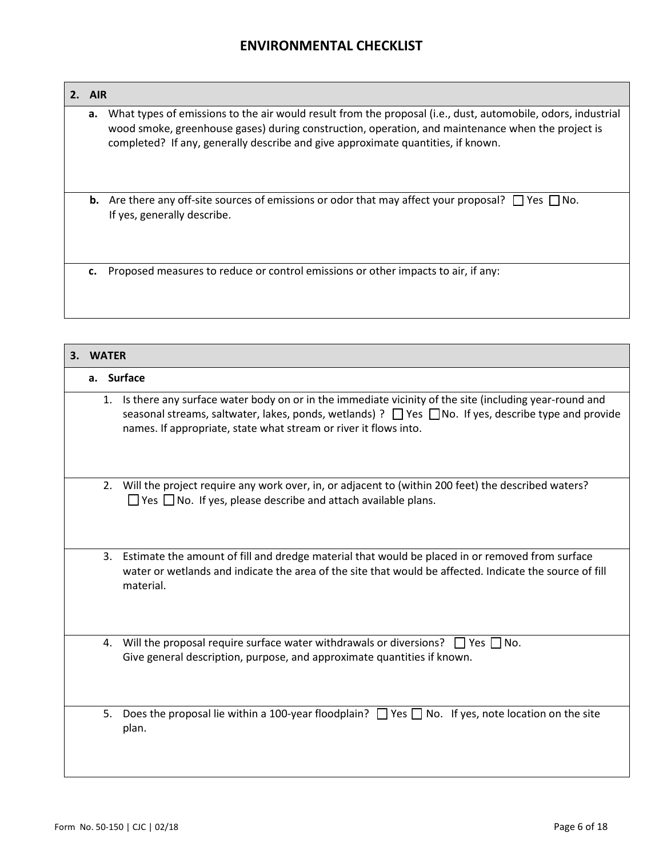**a.** What types of emissions to the air would result from the proposal (i.e., dust, automobile, odors, industrial wood smoke, greenhouse gases) during construction, operation, and maintenance when the project is completed? If any, generally describe and give approximate quantities, if known. **b.** Are there any off-site sources of emissions or odor that may affect your proposal?  $\Box$  Yes  $\Box$  No. If yes, generally describe.

**c.** Proposed measures to reduce or control emissions or other impacts to air, if any:

| З. | <b>WATER</b> |    |                                                                                                                                                                                                                                                                                                |  |  |
|----|--------------|----|------------------------------------------------------------------------------------------------------------------------------------------------------------------------------------------------------------------------------------------------------------------------------------------------|--|--|
|    |              |    | a. Surface                                                                                                                                                                                                                                                                                     |  |  |
|    |              |    | 1. Is there any surface water body on or in the immediate vicinity of the site (including year-round and<br>seasonal streams, saltwater, lakes, ponds, wetlands) ? $\Box$ Yes $\Box$ No. If yes, describe type and provide<br>names. If appropriate, state what stream or river it flows into. |  |  |
|    |              |    | 2. Will the project require any work over, in, or adjacent to (within 200 feet) the described waters?<br>$\Box$ Yes $\Box$ No. If yes, please describe and attach available plans.                                                                                                             |  |  |
|    |              |    | 3. Estimate the amount of fill and dredge material that would be placed in or removed from surface<br>water or wetlands and indicate the area of the site that would be affected. Indicate the source of fill<br>material.                                                                     |  |  |
|    |              |    | 4. Will the proposal require surface water withdrawals or diversions? $\Box$ Yes $\Box$ No.<br>Give general description, purpose, and approximate quantities if known.                                                                                                                         |  |  |
|    |              | 5. | Does the proposal lie within a 100-year floodplain? $\Box$ Yes $\Box$ No. If yes, note location on the site<br>plan.                                                                                                                                                                           |  |  |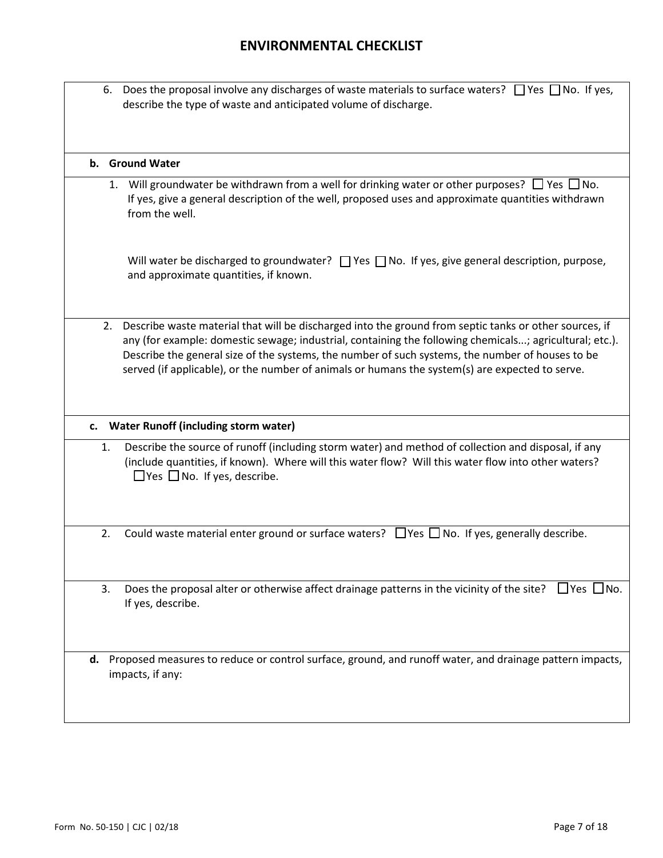|    | 6. Does the proposal involve any discharges of waste materials to surface waters? $\Box$ Yes $\Box$ No. If yes,<br>describe the type of waste and anticipated volume of discharge.                                                                                                                                                                                                                                          |
|----|-----------------------------------------------------------------------------------------------------------------------------------------------------------------------------------------------------------------------------------------------------------------------------------------------------------------------------------------------------------------------------------------------------------------------------|
|    | b. Ground Water                                                                                                                                                                                                                                                                                                                                                                                                             |
|    | 1. Will groundwater be withdrawn from a well for drinking water or other purposes? $\Box$ Yes $\Box$ No.<br>If yes, give a general description of the well, proposed uses and approximate quantities withdrawn<br>from the well.                                                                                                                                                                                            |
|    | Will water be discharged to groundwater? $\Box$ Yes $\Box$ No. If yes, give general description, purpose,<br>and approximate quantities, if known.                                                                                                                                                                                                                                                                          |
|    | 2. Describe waste material that will be discharged into the ground from septic tanks or other sources, if<br>any (for example: domestic sewage; industrial, containing the following chemicals; agricultural; etc.).<br>Describe the general size of the systems, the number of such systems, the number of houses to be<br>served (if applicable), or the number of animals or humans the system(s) are expected to serve. |
|    | c. Water Runoff (including storm water)                                                                                                                                                                                                                                                                                                                                                                                     |
| 1. | Describe the source of runoff (including storm water) and method of collection and disposal, if any<br>(include quantities, if known). Where will this water flow? Will this water flow into other waters?<br>$\Box$ Yes $\Box$ No. If yes, describe.                                                                                                                                                                       |
| 2. | Could waste material enter ground or surface waters? $\Box$ Yes $\Box$ No. If yes, generally describe.                                                                                                                                                                                                                                                                                                                      |
| 3. | Does the proposal alter or otherwise affect drainage patterns in the vicinity of the site? $\Box$ Yes $\Box$ No.<br>If yes, describe.                                                                                                                                                                                                                                                                                       |
| d. | Proposed measures to reduce or control surface, ground, and runoff water, and drainage pattern impacts,<br>impacts, if any:                                                                                                                                                                                                                                                                                                 |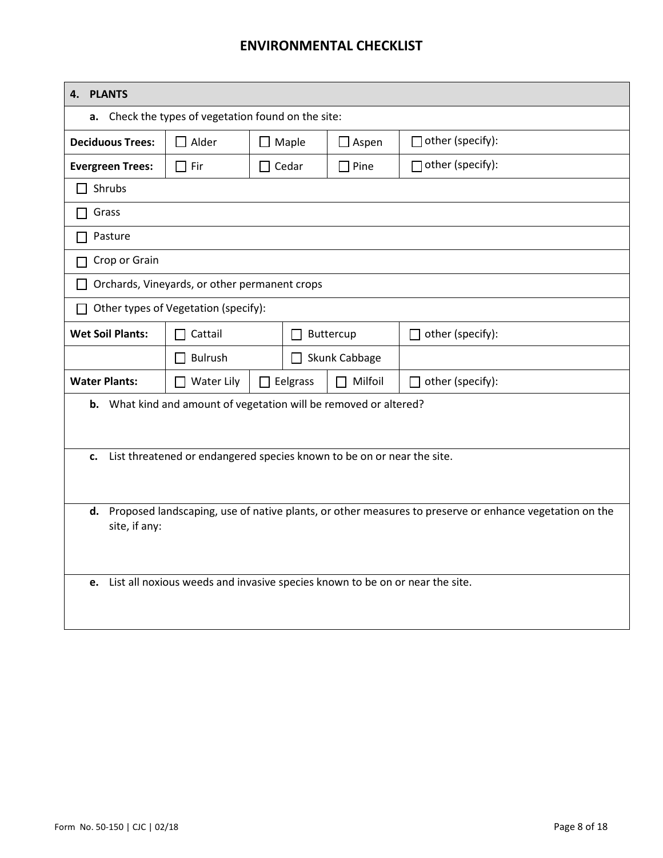| <b>PLANTS</b><br>4.     |                                                                              |                                   |               |                                                                                                        |
|-------------------------|------------------------------------------------------------------------------|-----------------------------------|---------------|--------------------------------------------------------------------------------------------------------|
| а.                      | Check the types of vegetation found on the site:                             |                                   |               |                                                                                                        |
| <b>Deciduous Trees:</b> | $\Box$ Alder                                                                 | $\square$ Maple                   | $\Box$ Aspen  | $\Box$ other (specify):                                                                                |
| <b>Evergreen Trees:</b> | $\Box$ Fir                                                                   | $\Box$ Cedar                      | $\Box$ Pine   | $\Box$ other (specify):                                                                                |
| Shrubs                  |                                                                              |                                   |               |                                                                                                        |
| Grass                   |                                                                              |                                   |               |                                                                                                        |
| Pasture                 |                                                                              |                                   |               |                                                                                                        |
| Crop or Grain           |                                                                              |                                   |               |                                                                                                        |
|                         | Orchards, Vineyards, or other permanent crops                                |                                   |               |                                                                                                        |
|                         | Other types of Vegetation (specify):                                         |                                   |               |                                                                                                        |
| <b>Wet Soil Plants:</b> | Cattail                                                                      | Buttercup<br>$\mathsf{L}$         |               | $\Box$ other (specify):                                                                                |
|                         | <b>Bulrush</b>                                                               |                                   | Skunk Cabbage |                                                                                                        |
| <b>Water Plants:</b>    | <b>Water Lily</b><br>$\mathsf{L}$                                            | $\Box$ Eelgrass<br>$\Box$ Milfoil |               | other (specify):<br>$\Box$                                                                             |
|                         | <b>b.</b> What kind and amount of vegetation will be removed or altered?     |                                   |               |                                                                                                        |
|                         |                                                                              |                                   |               |                                                                                                        |
| c.                      | List threatened or endangered species known to be on or near the site.       |                                   |               |                                                                                                        |
|                         |                                                                              |                                   |               |                                                                                                        |
| d.                      |                                                                              |                                   |               | Proposed landscaping, use of native plants, or other measures to preserve or enhance vegetation on the |
| site, if any:           |                                                                              |                                   |               |                                                                                                        |
|                         |                                                                              |                                   |               |                                                                                                        |
| e.                      | List all noxious weeds and invasive species known to be on or near the site. |                                   |               |                                                                                                        |
|                         |                                                                              |                                   |               |                                                                                                        |
|                         |                                                                              |                                   |               |                                                                                                        |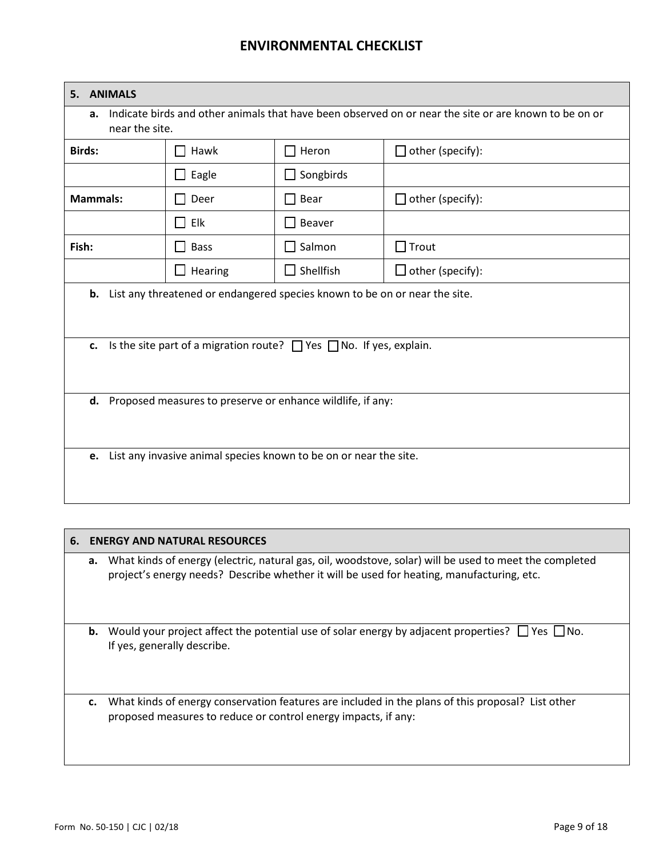| <b>ANIMALS</b><br>5.                                                                                                          |                                                                   |                  |                         |  |  |
|-------------------------------------------------------------------------------------------------------------------------------|-------------------------------------------------------------------|------------------|-------------------------|--|--|
| Indicate birds and other animals that have been observed on or near the site or are known to be on or<br>a.<br>near the site. |                                                                   |                  |                         |  |  |
| <b>Birds:</b>                                                                                                                 | Hawk                                                              | $\Box$ Heron     | $\Box$ other (specify): |  |  |
|                                                                                                                               | $\Box$ Eagle                                                      | $\Box$ Songbirds |                         |  |  |
| <b>Mammals:</b>                                                                                                               | Deer                                                              | Bear             | $\Box$ other (specify): |  |  |
|                                                                                                                               | Elk<br>$\mathbf{I}$                                               | Beaver           |                         |  |  |
| Fish:                                                                                                                         | <b>Bass</b><br>$\blacksquare$                                     | $\Box$ Salmon    | $\Box$ Trout            |  |  |
|                                                                                                                               | Hearing                                                           | $\Box$ Shellfish | $\Box$ other (specify): |  |  |
| List any threatened or endangered species known to be on or near the site.<br>b.                                              |                                                                   |                  |                         |  |  |
|                                                                                                                               |                                                                   |                  |                         |  |  |
| Is the site part of a migration route? $\Box$ Yes $\Box$ No. If yes, explain.<br>c.                                           |                                                                   |                  |                         |  |  |
|                                                                                                                               |                                                                   |                  |                         |  |  |
|                                                                                                                               |                                                                   |                  |                         |  |  |
| d. Proposed measures to preserve or enhance wildlife, if any:                                                                 |                                                                   |                  |                         |  |  |
|                                                                                                                               |                                                                   |                  |                         |  |  |
| e.                                                                                                                            | List any invasive animal species known to be on or near the site. |                  |                         |  |  |
|                                                                                                                               |                                                                   |                  |                         |  |  |

| 6. |    | <b>ENERGY AND NATURAL RESOURCES</b>                                                                                                                                                                 |
|----|----|-----------------------------------------------------------------------------------------------------------------------------------------------------------------------------------------------------|
|    | a. | What kinds of energy (electric, natural gas, oil, woodstove, solar) will be used to meet the completed<br>project's energy needs? Describe whether it will be used for heating, manufacturing, etc. |
|    |    | <b>b.</b> Would your project affect the potential use of solar energy by adjacent properties? $\Box$ Yes $\Box$ No.<br>If yes, generally describe.                                                  |
|    | c. | What kinds of energy conservation features are included in the plans of this proposal? List other<br>proposed measures to reduce or control energy impacts, if any:                                 |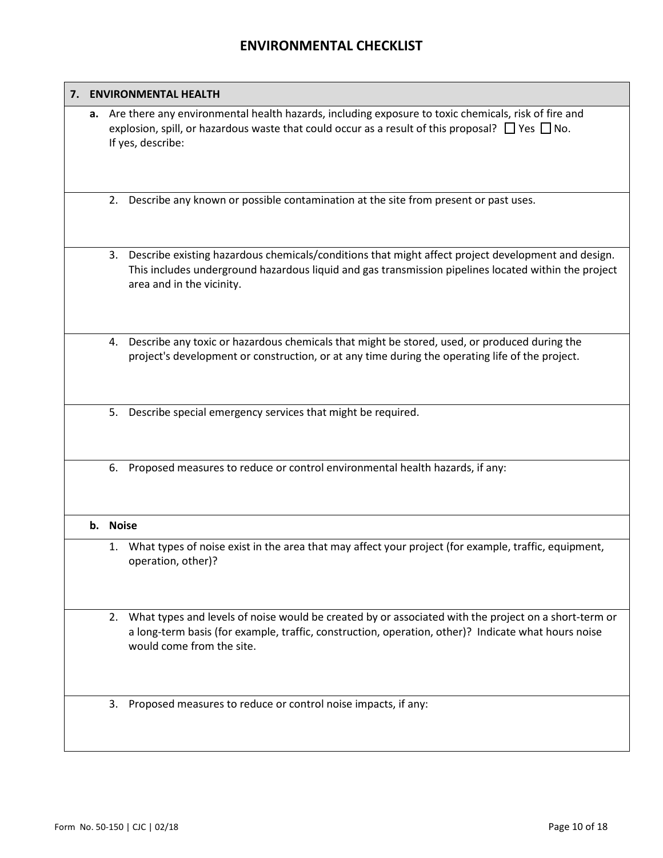# **7. ENVIRONMENTAL HEALTH a.** Are there any environmental health hazards, including exposure to toxic chemicals, risk of fire and explosion, spill, or hazardous waste that could occur as a result of this proposal?  $\Box$  Yes  $\Box$  No. If yes, describe: 2. Describe any known or possible contamination at the site from present or past uses. 3. Describe existing hazardous chemicals/conditions that might affect project development and design. This includes underground hazardous liquid and gas transmission pipelines located within the project area and in the vicinity. 4. Describe any toxic or hazardous chemicals that might be stored, used, or produced during the project's development or construction, or at any time during the operating life of the project. 5. Describe special emergency services that might be required. 6. Proposed measures to reduce or control environmental health hazards, if any: **b. Noise** 1. What types of noise exist in the area that may affect your project (for example, traffic, equipment, operation, other)? 2. What types and levels of noise would be created by or associated with the project on a short-term or a long-term basis (for example, traffic, construction, operation, other)? Indicate what hours noise would come from the site. 3. Proposed measures to reduce or control noise impacts, if any: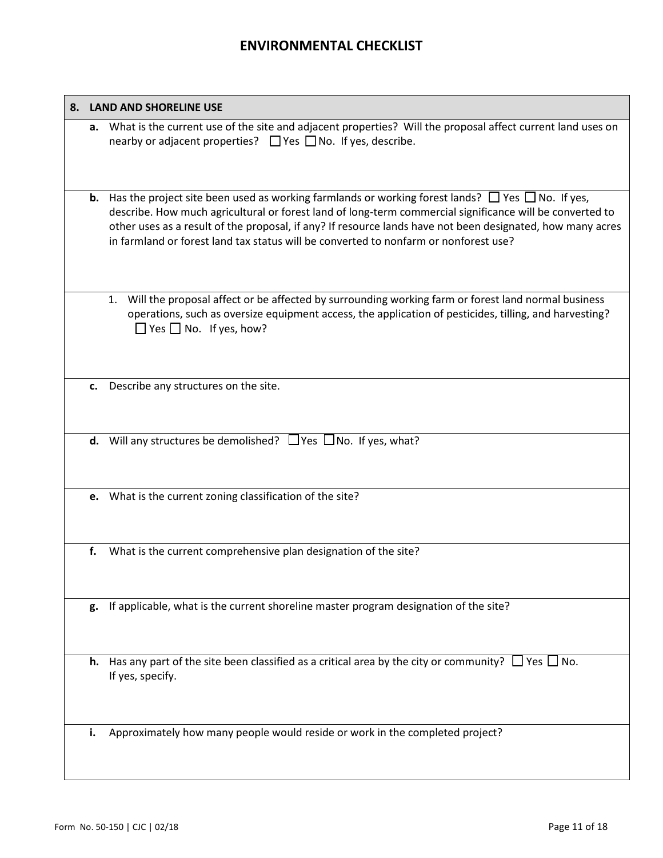|    | 8. LAND AND SHORELINE USE                                                                                                                                                                                                                                                                                                                                                                                                              |
|----|----------------------------------------------------------------------------------------------------------------------------------------------------------------------------------------------------------------------------------------------------------------------------------------------------------------------------------------------------------------------------------------------------------------------------------------|
| a. | What is the current use of the site and adjacent properties? Will the proposal affect current land uses on<br>nearby or adjacent properties? $\Box$ Yes $\Box$ No. If yes, describe.                                                                                                                                                                                                                                                   |
|    | <b>b.</b> Has the project site been used as working farmlands or working forest lands? $\Box$ Yes $\Box$ No. If yes,<br>describe. How much agricultural or forest land of long-term commercial significance will be converted to<br>other uses as a result of the proposal, if any? If resource lands have not been designated, how many acres<br>in farmland or forest land tax status will be converted to nonfarm or nonforest use? |
|    | Will the proposal affect or be affected by surrounding working farm or forest land normal business<br>1.<br>operations, such as oversize equipment access, the application of pesticides, tilling, and harvesting?<br>$\Box$ Yes $\Box$ No. If yes, how?                                                                                                                                                                               |
| c. | Describe any structures on the site.                                                                                                                                                                                                                                                                                                                                                                                                   |
|    | <b>d.</b> Will any structures be demolished? $\Box$ Yes $\Box$ No. If yes, what?                                                                                                                                                                                                                                                                                                                                                       |
| e. | What is the current zoning classification of the site?                                                                                                                                                                                                                                                                                                                                                                                 |
| f. | What is the current comprehensive plan designation of the site?                                                                                                                                                                                                                                                                                                                                                                        |
| g. | If applicable, what is the current shoreline master program designation of the site?                                                                                                                                                                                                                                                                                                                                                   |
| h. | Has any part of the site been classified as a critical area by the city or community? $\Box$ Yes $\Box$ No.<br>If yes, specify.                                                                                                                                                                                                                                                                                                        |
| i. | Approximately how many people would reside or work in the completed project?                                                                                                                                                                                                                                                                                                                                                           |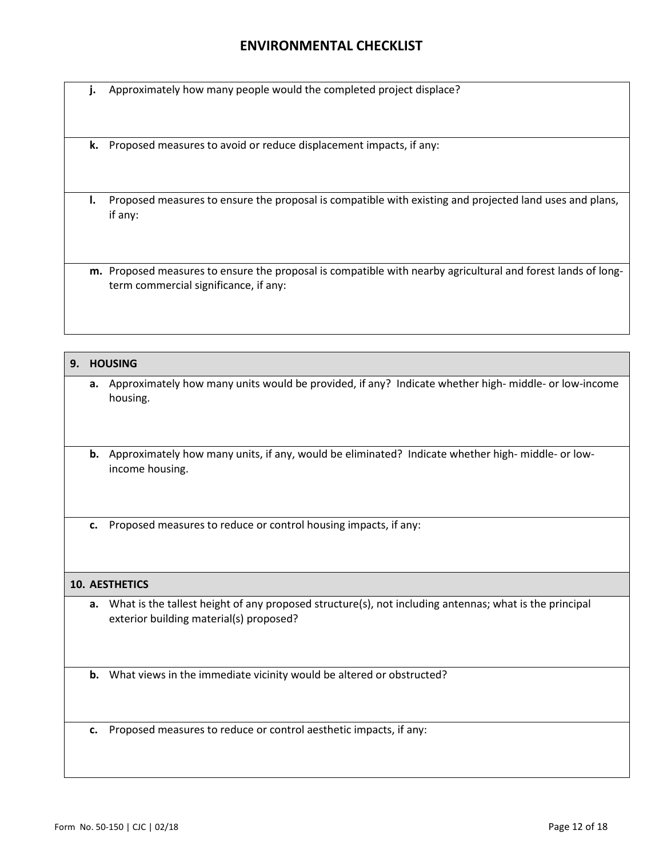**j.** Approximately how many people would the completed project displace?

**k.** Proposed measures to avoid or reduce displacement impacts, if any:

**l.** Proposed measures to ensure the proposal is compatible with existing and projected land uses and plans, if any:

**m.** Proposed measures to ensure the proposal is compatible with nearby agricultural and forest lands of longterm commercial significance, if any:

| 9. | <b>HOUSING</b>        |                                                                                                                                                   |  |  |  |
|----|-----------------------|---------------------------------------------------------------------------------------------------------------------------------------------------|--|--|--|
|    |                       | a. Approximately how many units would be provided, if any? Indicate whether high- middle- or low-income<br>housing.                               |  |  |  |
|    |                       | <b>b.</b> Approximately how many units, if any, would be eliminated? Indicate whether high-middle- or low-<br>income housing.                     |  |  |  |
|    | c.                    | Proposed measures to reduce or control housing impacts, if any:                                                                                   |  |  |  |
|    | <b>10. AESTHETICS</b> |                                                                                                                                                   |  |  |  |
|    | а.                    | What is the tallest height of any proposed structure(s), not including antennas; what is the principal<br>exterior building material(s) proposed? |  |  |  |
|    |                       | <b>b.</b> What views in the immediate vicinity would be altered or obstructed?                                                                    |  |  |  |
|    | c.                    | Proposed measures to reduce or control aesthetic impacts, if any:                                                                                 |  |  |  |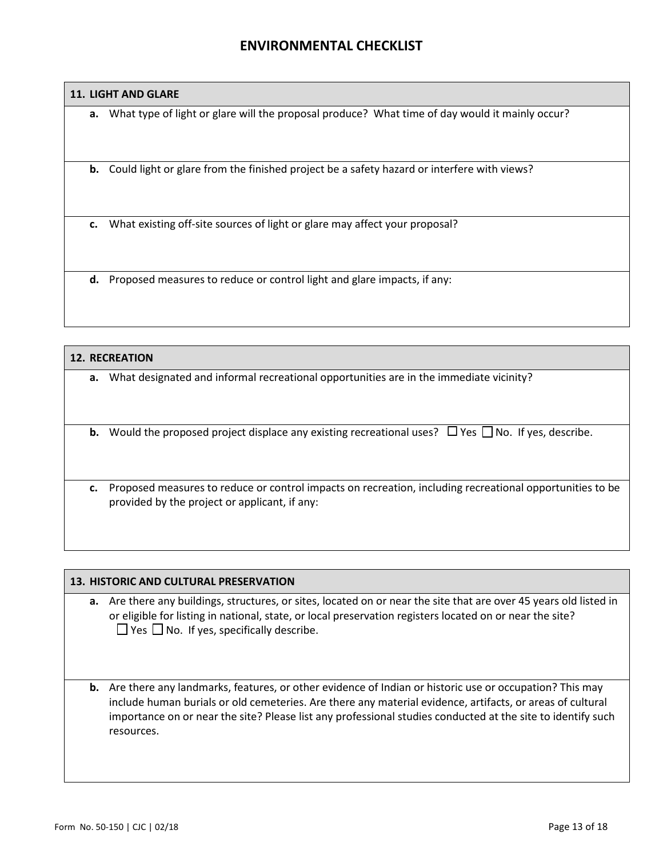### **11. LIGHT AND GLARE**

**a.** What type of light or glare will the proposal produce? What time of day would it mainly occur?

**b.** Could light or glare from the finished project be a safety hazard or interfere with views?

**c.** What existing off-site sources of light or glare may affect your proposal?

**d.** Proposed measures to reduce or control light and glare impacts, if any:

# **12. RECREATION a.** What designated and informal recreational opportunities are in the immediate vicinity? **b.** Would the proposed project displace any existing recreational uses?  $\Box$  Yes  $\Box$  No. If yes, describe. **c.** Proposed measures to reduce or control impacts on recreation, including recreational opportunities to be provided by the project or applicant, if any:

#### **13. HISTORIC AND CULTURAL PRESERVATION**

- **a.** Are there any buildings, structures, or sites, located on or near the site that are over 45 years old listed in or eligible for listing in national, state, or local preservation registers located on or near the site?  $\Box$  Yes  $\Box$  No. If yes, specifically describe.
- **b.** Are there any landmarks, features, or other evidence of Indian or historic use or occupation? This may include human burials or old cemeteries. Are there any material evidence, artifacts, or areas of cultural importance on or near the site? Please list any professional studies conducted at the site to identify such resources.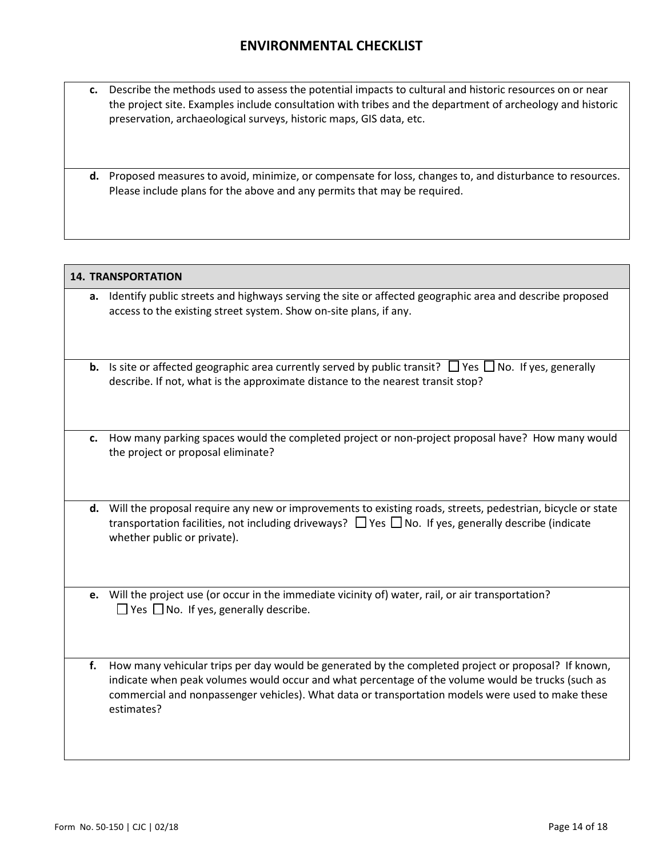- **c.** Describe the methods used to assess the potential impacts to cultural and historic resources on or near the project site. Examples include consultation with tribes and the department of archeology and historic preservation, archaeological surveys, historic maps, GIS data, etc.
- **d.** Proposed measures to avoid, minimize, or compensate for loss, changes to, and disturbance to resources. Please include plans for the above and any permits that may be required.

|    | <b>14. TRANSPORTATION</b>                                                                                                                                                                                                                                                                                                   |  |  |  |  |
|----|-----------------------------------------------------------------------------------------------------------------------------------------------------------------------------------------------------------------------------------------------------------------------------------------------------------------------------|--|--|--|--|
|    | a. Identify public streets and highways serving the site or affected geographic area and describe proposed<br>access to the existing street system. Show on-site plans, if any.                                                                                                                                             |  |  |  |  |
|    | <b>b.</b> Is site or affected geographic area currently served by public transit? $\Box$ Yes $\Box$ No. If yes, generally<br>describe. If not, what is the approximate distance to the nearest transit stop?                                                                                                                |  |  |  |  |
|    | c. How many parking spaces would the completed project or non-project proposal have? How many would<br>the project or proposal eliminate?                                                                                                                                                                                   |  |  |  |  |
|    | d. Will the proposal require any new or improvements to existing roads, streets, pedestrian, bicycle or state<br>transportation facilities, not including driveways? $\Box$ Yes $\Box$ No. If yes, generally describe (indicate<br>whether public or private).                                                              |  |  |  |  |
|    | e. Will the project use (or occur in the immediate vicinity of) water, rail, or air transportation?<br>$\Box$ Yes $\Box$ No. If yes, generally describe.                                                                                                                                                                    |  |  |  |  |
| f. | How many vehicular trips per day would be generated by the completed project or proposal? If known,<br>indicate when peak volumes would occur and what percentage of the volume would be trucks (such as<br>commercial and nonpassenger vehicles). What data or transportation models were used to make these<br>estimates? |  |  |  |  |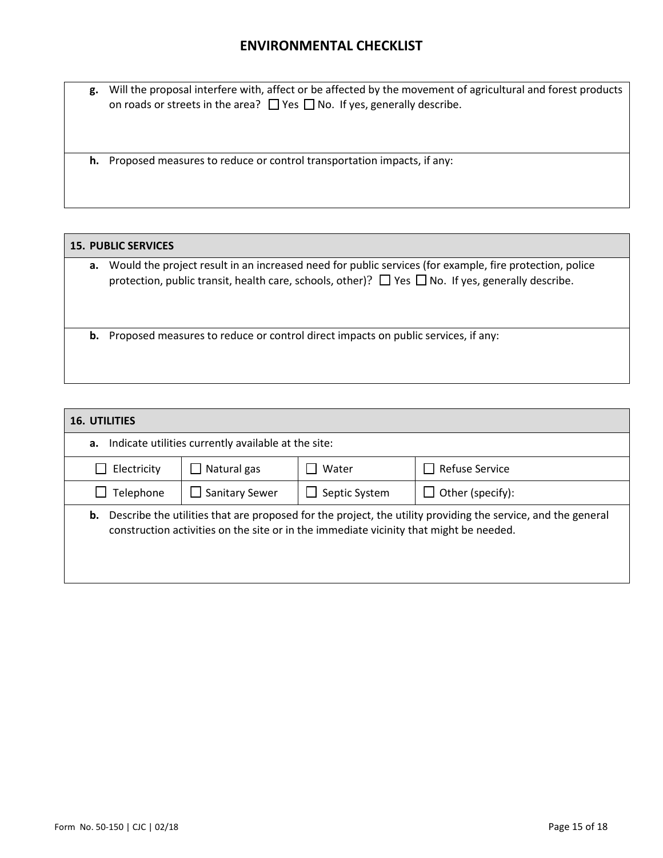**g.** Will the proposal interfere with, affect or be affected by the movement of agricultural and forest products on roads or streets in the area?  $\Box$  Yes  $\Box$  No. If yes, generally describe.

**h.** Proposed measures to reduce or control transportation impacts, if any:

### **15. PUBLIC SERVICES**

**a.** Would the project result in an increased need for public services (for example, fire protection, police protection, public transit, health care, schools, other)?  $\Box$  Yes  $\Box$  No. If yes, generally describe.

**b.** Proposed measures to reduce or control direct impacts on public services, if any:

| <b>16. UTILITIES</b>                                      |                                |                                                                                        |                                                                                                              |  |  |  |  |
|-----------------------------------------------------------|--------------------------------|----------------------------------------------------------------------------------------|--------------------------------------------------------------------------------------------------------------|--|--|--|--|
| Indicate utilities currently available at the site:<br>а. |                                |                                                                                        |                                                                                                              |  |  |  |  |
| Electricity                                               | Natural gas                    | Water                                                                                  | $\Box$ Refuse Service                                                                                        |  |  |  |  |
| Telephone                                                 | Sanitary Sewer<br>$\mathsf{L}$ | $\Box$ Septic System                                                                   | $\Box$ Other (specify):                                                                                      |  |  |  |  |
| b.                                                        |                                | construction activities on the site or in the immediate vicinity that might be needed. | Describe the utilities that are proposed for the project, the utility providing the service, and the general |  |  |  |  |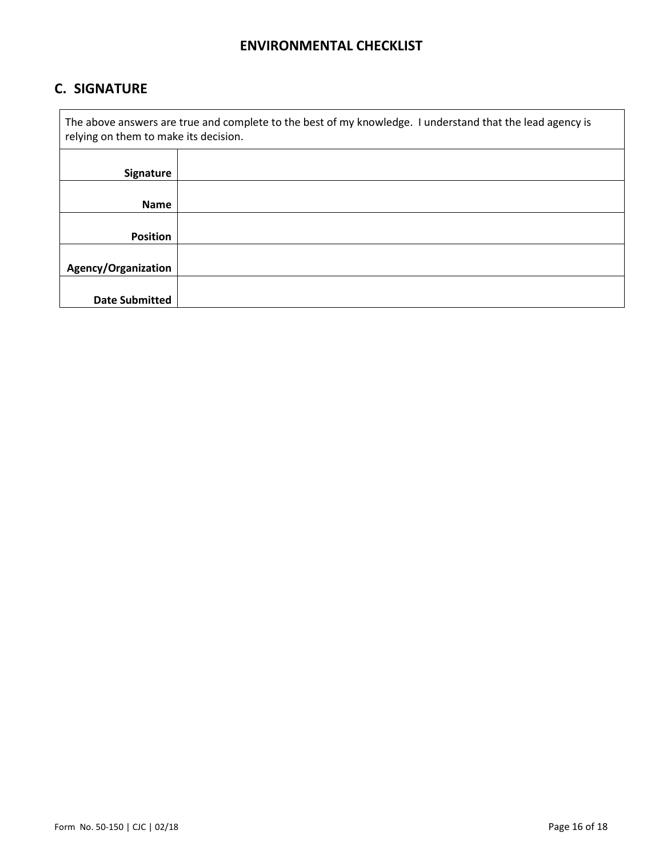# **C. SIGNATURE**

 $\mathbf{r}$ 

| The above answers are true and complete to the best of my knowledge. I understand that the lead agency is<br>relying on them to make its decision. |  |  |  |  |  |
|----------------------------------------------------------------------------------------------------------------------------------------------------|--|--|--|--|--|
| Signature                                                                                                                                          |  |  |  |  |  |
| <b>Name</b>                                                                                                                                        |  |  |  |  |  |
| <b>Position</b>                                                                                                                                    |  |  |  |  |  |
| Agency/Organization                                                                                                                                |  |  |  |  |  |
| <b>Date Submitted</b>                                                                                                                              |  |  |  |  |  |

٦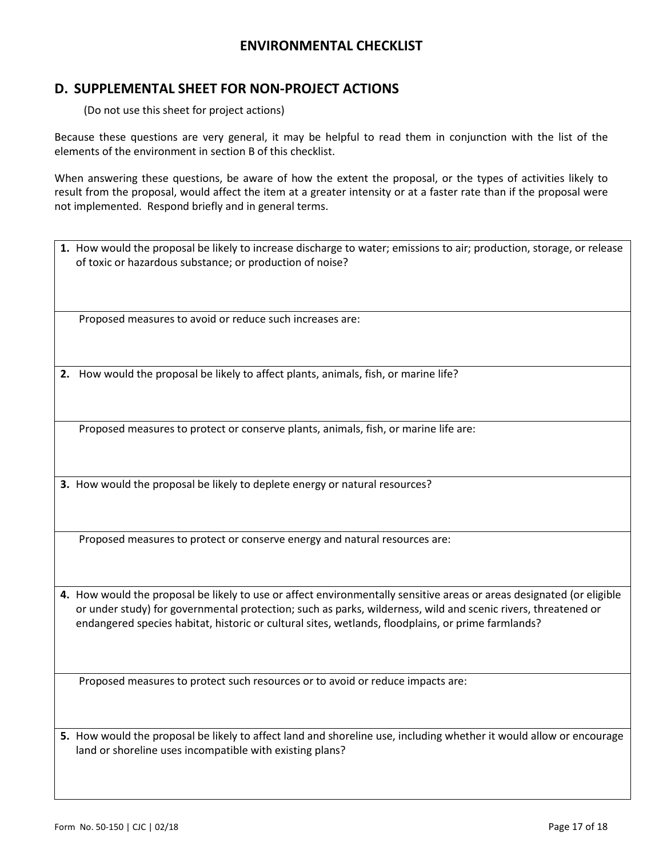### **D. SUPPLEMENTAL SHEET FOR NON-PROJECT ACTIONS**

(Do not use this sheet for project actions)

Because these questions are very general, it may be helpful to read them in conjunction with the list of the elements of the environment in section B of this checklist.

When answering these questions, be aware of how the extent the proposal, or the types of activities likely to result from the proposal, would affect the item at a greater intensity or at a faster rate than if the proposal were not implemented. Respond briefly and in general terms.

**1.** How would the proposal be likely to increase discharge to water; emissions to air; production, storage, or release of toxic or hazardous substance; or production of noise?

Proposed measures to avoid or reduce such increases are:

**2.** How would the proposal be likely to affect plants, animals, fish, or marine life?

Proposed measures to protect or conserve plants, animals, fish, or marine life are:

**3.** How would the proposal be likely to deplete energy or natural resources?

Proposed measures to protect or conserve energy and natural resources are:

**4.** How would the proposal be likely to use or affect environmentally sensitive areas or areas designated (or eligible or under study) for governmental protection; such as parks, wilderness, wild and scenic rivers, threatened or endangered species habitat, historic or cultural sites, wetlands, floodplains, or prime farmlands?

Proposed measures to protect such resources or to avoid or reduce impacts are:

**5.** How would the proposal be likely to affect land and shoreline use, including whether it would allow or encourage land or shoreline uses incompatible with existing plans?